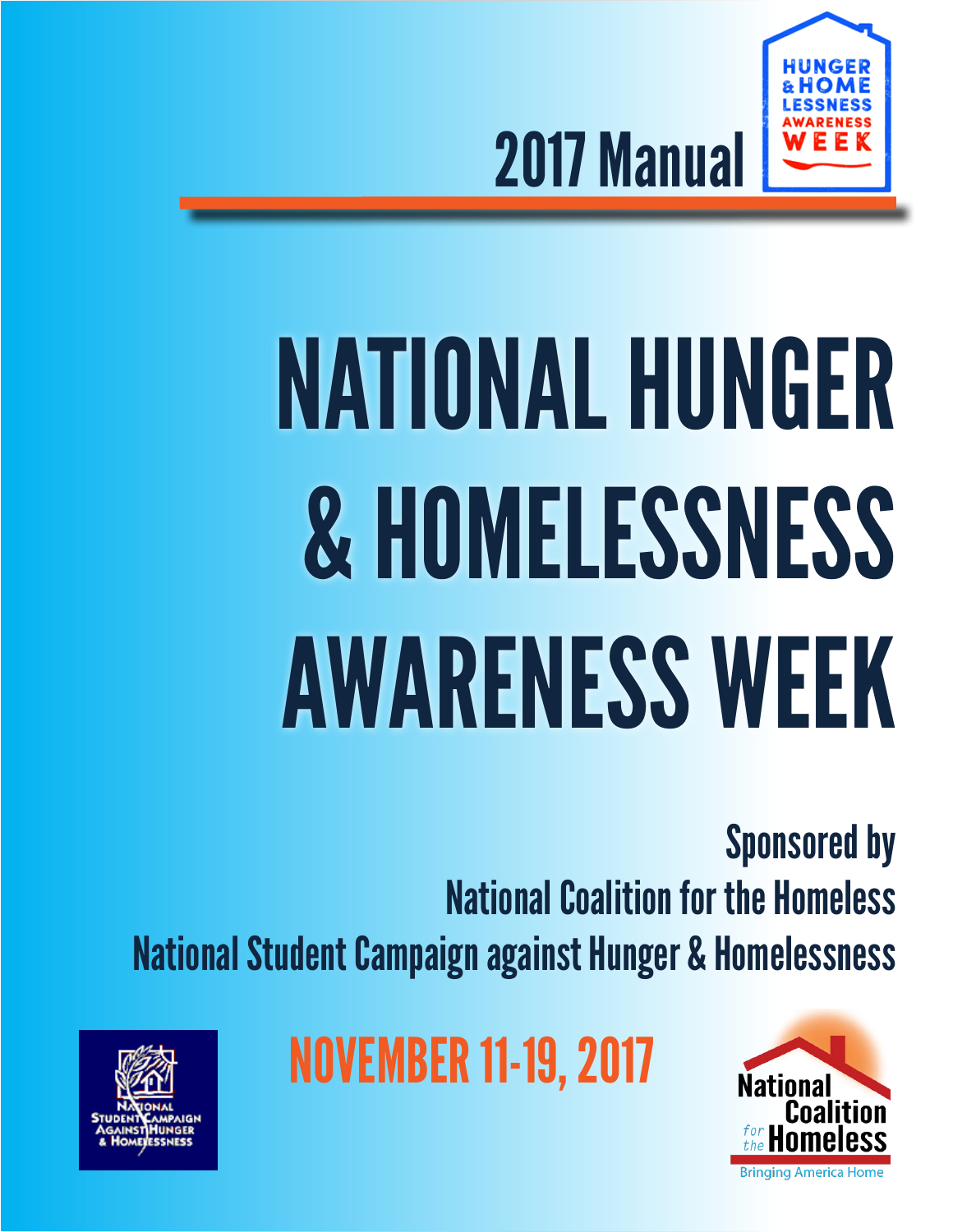

2017 Manual

# NATIONAL HUNGER & HOMELESSNESS AWARENESS WEEK

Sponsored by National Coalition for the Homeless National Student Campaign against Hunger & Homelessness



NOVEMBER 11-19, 2017

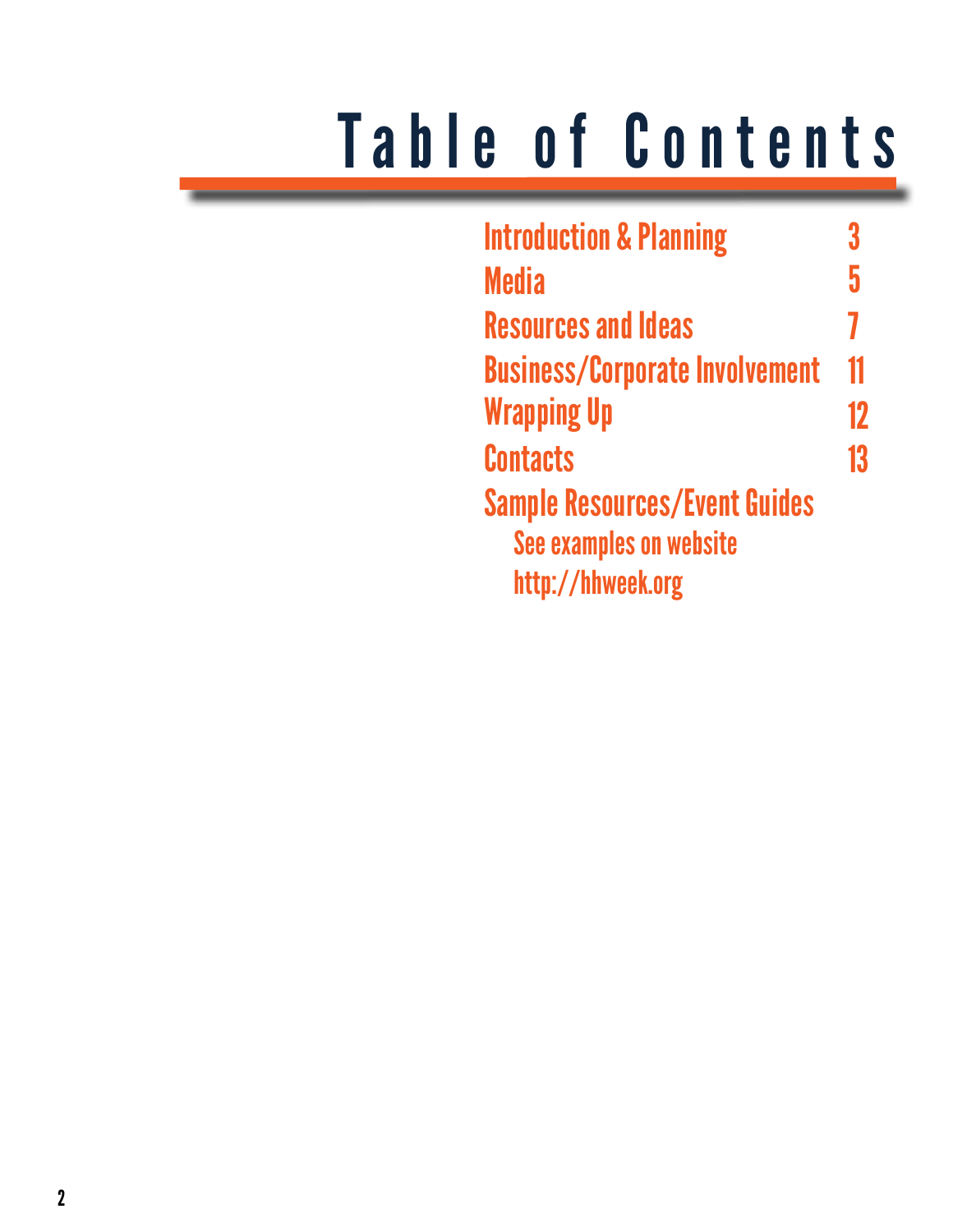## Table of Contents

| <b>Introduction &amp; Planning</b>    |    |  |
|---------------------------------------|----|--|
| <b>Media</b>                          | 5  |  |
| <b>Resources and Ideas</b>            | 7  |  |
| <b>Business/Corporate Involvement</b> | 11 |  |
| <b>Wrapping Up</b>                    | 12 |  |
| <b>Contacts</b>                       | 13 |  |
| <b>Sample Resources/Event Guides</b>  |    |  |
| <b>See examples on website</b>        |    |  |
| http://hhweek.org                     |    |  |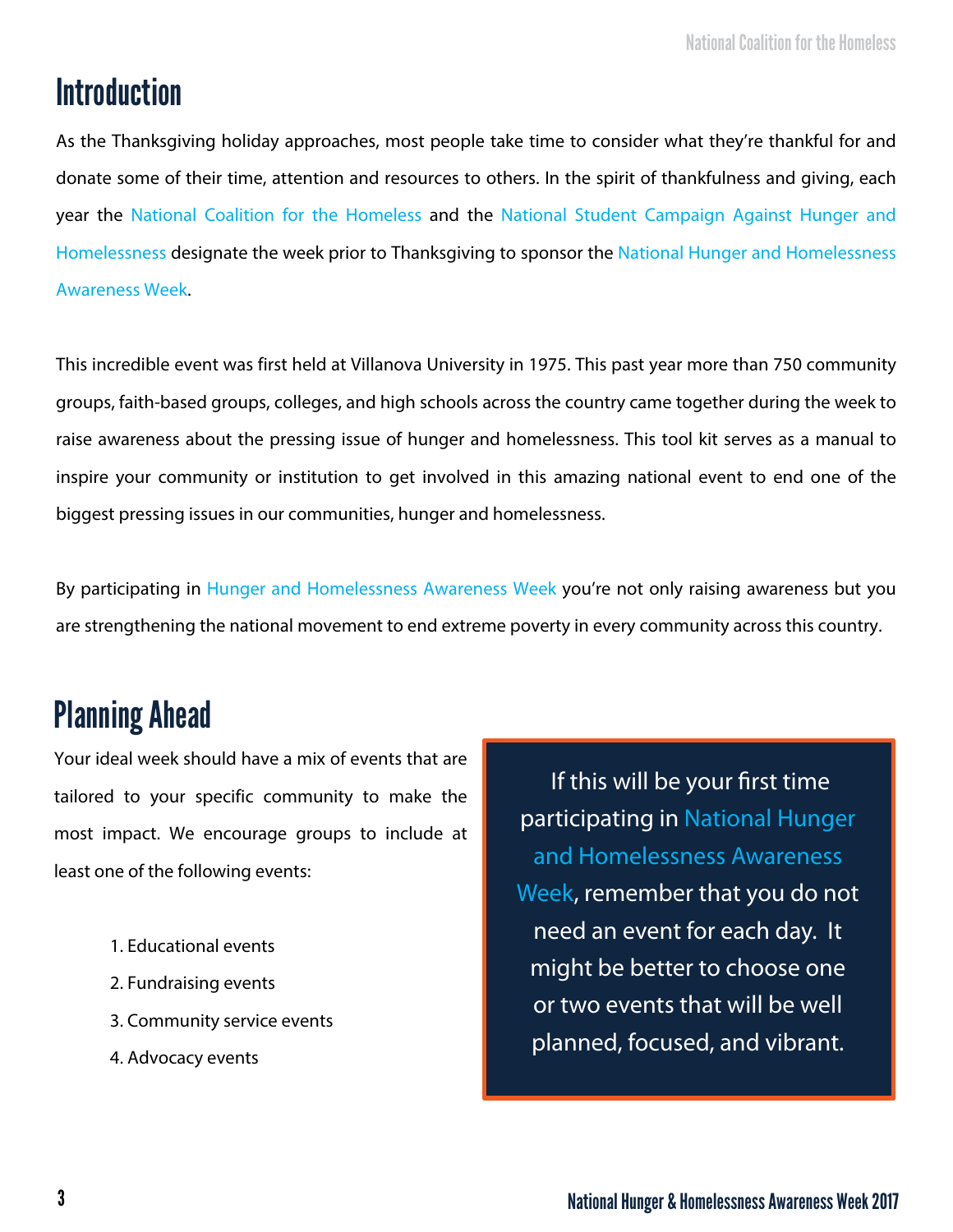## Introduction

As the Thanksgiving holiday approaches, most people take time to consider what they're thankful for and donate some of their time, attention and resources to others. In the spirit of thankfulness and giving, each year the National Coalition for the Homeless and the National Student Campaign Against Hunger and Homelessness designate the week prior to Thanksgiving to sponsor the National Hunger and Homelessness Awareness Week.

This incredible event was first held at Villanova University in 1975. This past year more than 750 community groups, faith-based groups, colleges, and high schools across the country came together during the week to raise awareness about the pressing issue of hunger and homelessness. This tool kit serves as a manual to inspire your community or institution to get involved in this amazing national event to end one of the biggest pressing issues in our communities, hunger and homelessness.

By participating in Hunger and Homelessness Awareness Week you're not only raising awareness but you are strengthening the national movement to end extreme poverty in every community across this country.

## Planning Ahead

Your ideal week should have a mix of events that are tailored to your specific community to make the most impact. We encourage groups to include at least one of the following events:

- 1. Educational events
- 2. Fundraising events
- 3. Community service events
- 4. Advocacy events

 If this will be your first time participating in National Hunger and Homelessness Awareness Week, remember that you do not need an event for each day. It might be better to choose one or two events that will be well planned, focused, and vibrant.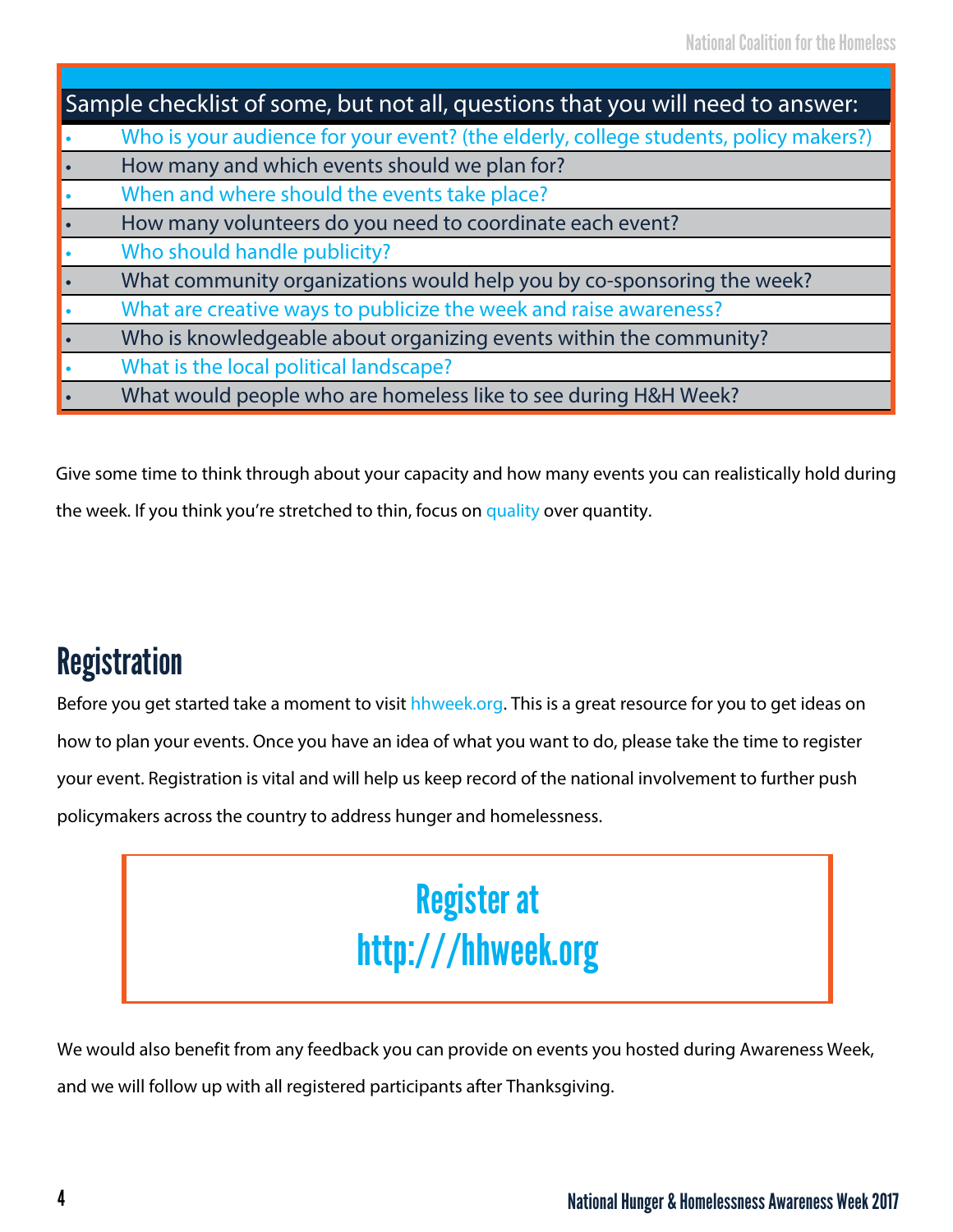| Sample checklist of some, but not all, questions that you will need to answer: |                                                                                      |  |
|--------------------------------------------------------------------------------|--------------------------------------------------------------------------------------|--|
|                                                                                | Who is your audience for your event? (the elderly, college students, policy makers?) |  |
|                                                                                | How many and which events should we plan for?                                        |  |
|                                                                                | When and where should the events take place?                                         |  |
|                                                                                | How many volunteers do you need to coordinate each event?                            |  |
|                                                                                | Who should handle publicity?                                                         |  |
|                                                                                | What community organizations would help you by co-sponsoring the week?               |  |
|                                                                                | What are creative ways to publicize the week and raise awareness?                    |  |
|                                                                                | Who is knowledgeable about organizing events within the community?                   |  |
|                                                                                | What is the local political landscape?                                               |  |
|                                                                                | What would people who are homeless like to see during H&H Week?                      |  |

Give some time to think through about your capacity and how many events you can realistically hold during

the week. If you think you're stretched to thin, focus on quality over quantity.

## **Registration**

Before you get started take a moment to visit hhweek.org. This is a great resource for you to get ideas on how to plan your events. Once you have an idea of what you want to do, please take the time to register your event. Registration is vital and will help us keep record of the national involvement to further push policymakers across the country to address hunger and homelessness.

## Register at http:///hhweek.org

We would also benefit from any feedback you can provide on events you hosted during Awareness Week, and we will follow up with all registered participants after Thanksgiving.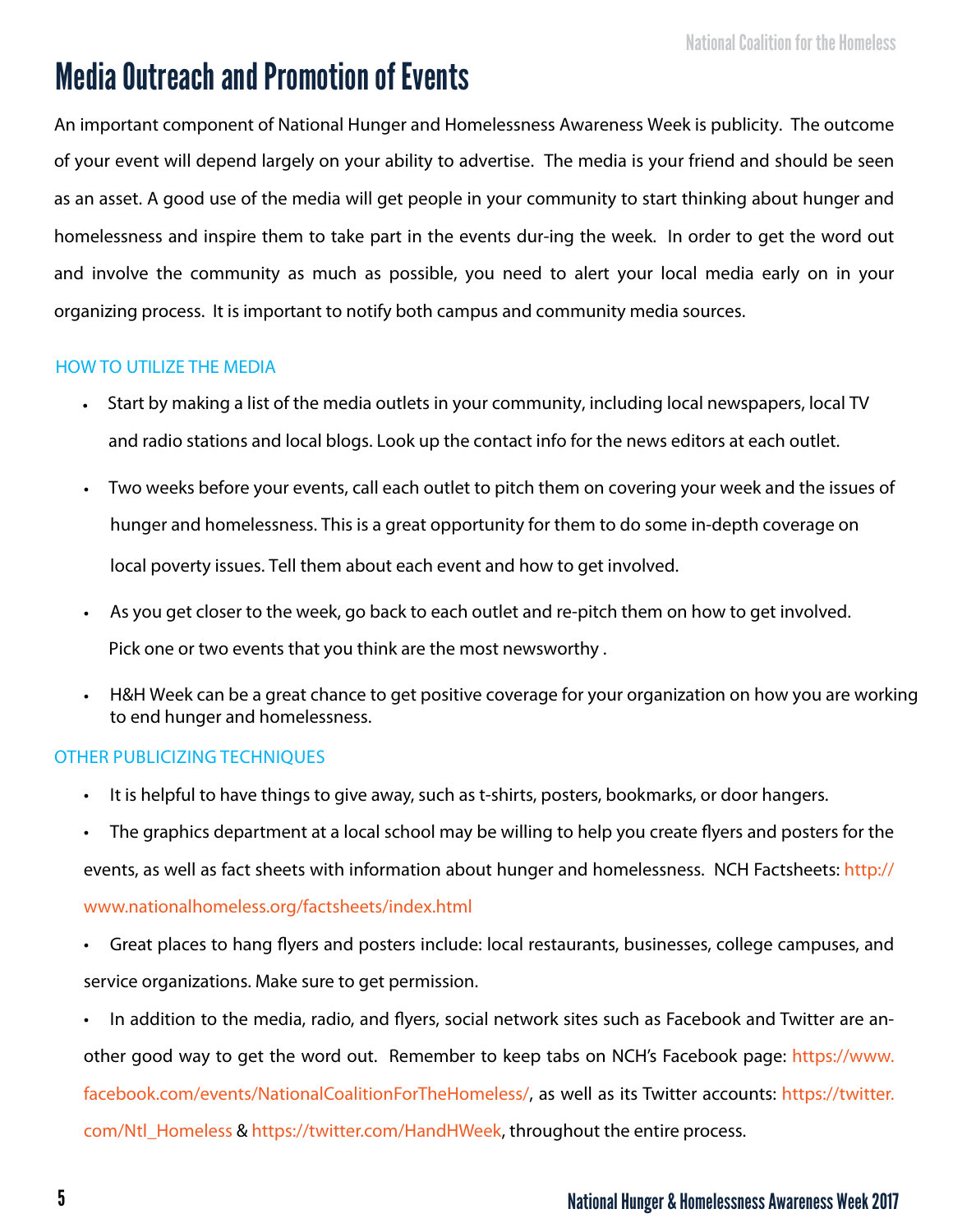## Media Outreach and Promotion of Events

An important component of National Hunger and Homelessness Awareness Week is publicity. The outcome of your event will depend largely on your ability to advertise. The media is your friend and should be seen as an asset. A good use of the media will get people in your community to start thinking about hunger and homelessness and inspire them to take part in the events dur-ing the week. In order to get the word out and involve the community as much as possible, you need to alert your local media early on in your organizing process. It is important to notify both campus and community media sources.

#### HoW To UTIlIzE THE MEDIA

- Start by making a list of the media outlets in your community, including local newspapers, local TV and radio stations and local blogs. Look up the contact info for the news editors at each outlet.
- Two weeks before your events, call each outlet to pitch them on covering your week and the issues of hunger and homelessness. This is a great opportunity for them to do some in-depth coverage on local poverty issues. Tell them about each event and how to get involved.
- As you get closer to the week, go back to each outlet and re-pitch them on how to get involved. Pick one or two events that you think are the most newsworthy .
- H&H Week can be a great chance to get positive coverage for your organization on how you are working to end hunger and homelessness.

#### oTHER PUBlICIzING TECHNIQUES

- It is helpful to have things to give away, such as t-shirts, posters, bookmarks, or door hangers.
- The graphics department at a local school may be willing to help you create flyers and posters for the events, as well as fact sheets with information about hunger and homelessness. NCH Factsheets: http:// www.nationalhomeless.org/factsheets/index.html
- Great places to hang flyers and posters include: local restaurants, businesses, college campuses, and service organizations. Make sure to get permission.
- In addition to the media, radio, and flyers, social network sites such as Facebook and Twitter are another good way to get the word out. Remember to keep tabs on NCH's Facebook page: https://www. facebook.com/events/NationalCoalitionForTheHomeless/, as well as its Twitter accounts: https://twitter. com/Ntl\_Homeless & https://twitter.com/HandHWeek, throughout the entire process.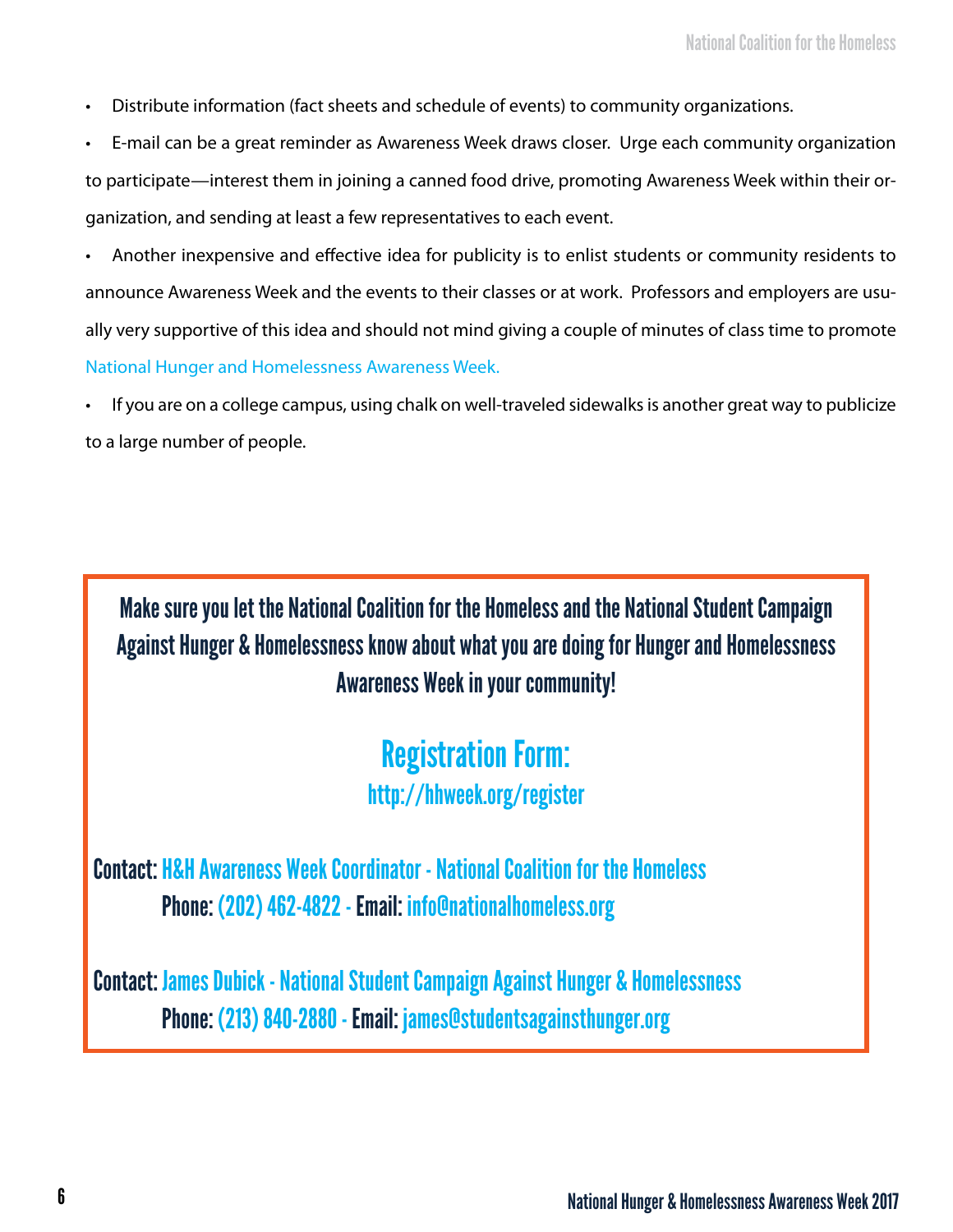- Distribute information (fact sheets and schedule of events) to community organizations.
- E-mail can be a great reminder as Awareness Week draws closer. Urge each community organization to participate—interest them in joining a canned food drive, promoting Awareness Week within their organization, and sending at least a few representatives to each event.
- Another inexpensive and effective idea for publicity is to enlist students or community residents to announce Awareness Week and the events to their classes or at work. Professors and employers are usually very supportive of this idea and should not mind giving a couple of minutes of class time to promote National Hunger and Homelessness Awareness Week.
- If you are on a college campus, using chalk on well-traveled sidewalks is another great way to publicize to a large number of people.

Make sure you let the National Coalition for the Homeless and the National Student Campaign Against Hunger & Homelessness know about what you are doing for Hunger and Homelessness Awareness Week in your community!

### Registration Form: http://hhweek.org/register

Contact: H&H Awareness Week Coordinator - National Coalition for the Homeless Phone: (202) 462-4822 - Email: info@nationalhomeless.org

Contact: James Dubick - National Student Campaign Against Hunger & Homelessness Phone: (213) 840-2880 - Email: james@studentsagainsthunger.org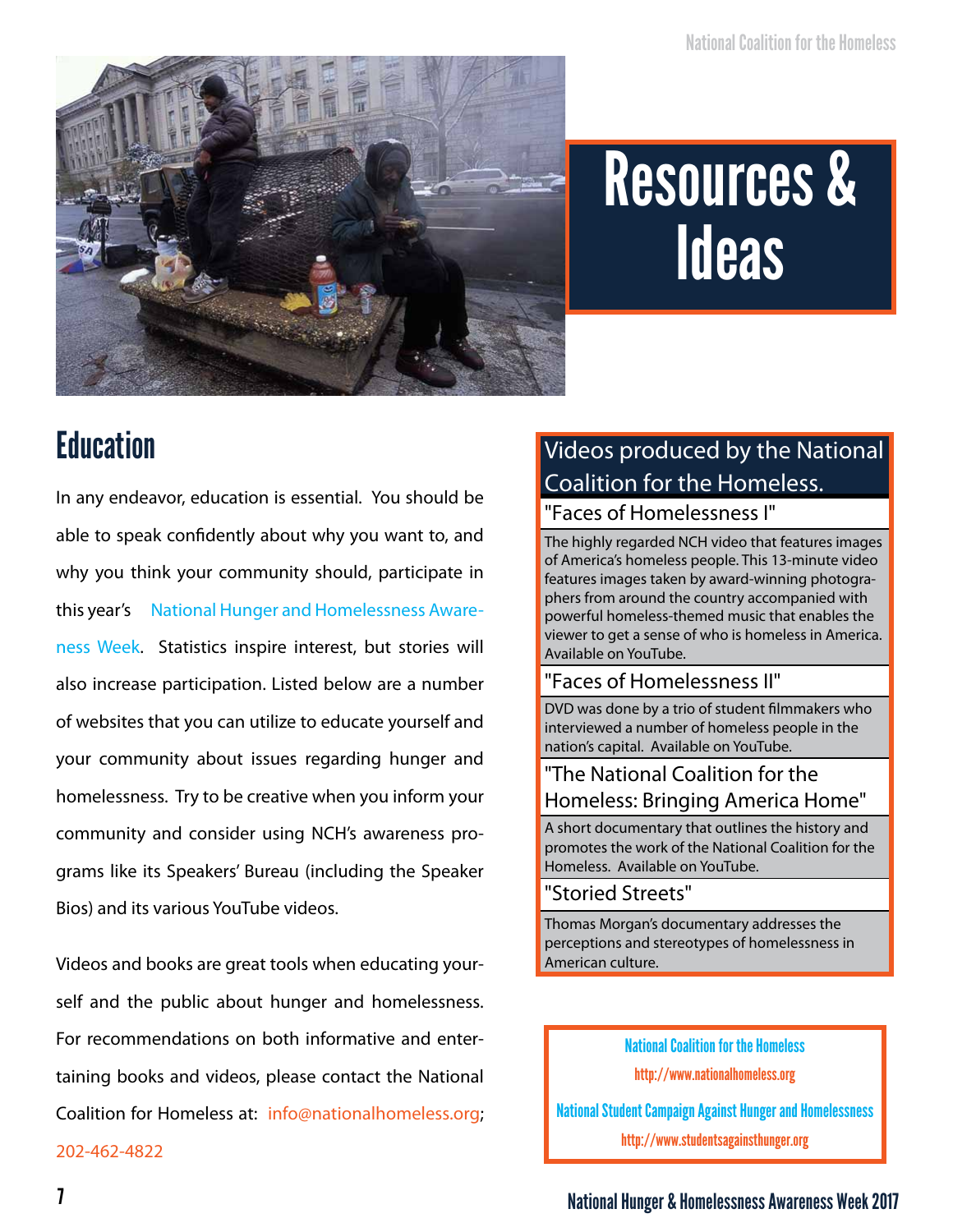

## Resources & **Ideas**

## **Education**

In any endeavor, education is essential. You should be able to speak confidently about why you want to, and why you think your community should, participate in this year's National Hunger and Homelessness Awareness Week. Statistics inspire interest, but stories will also increase participation. Listed below are a number of websites that you can utilize to educate yourself and your community about issues regarding hunger and homelessness. Try to be creative when you inform your community and consider using NCH's awareness programs like its Speakers' Bureau (including the Speaker Bios) and its various YouTube videos.

Videos and books are great tools when educating yourself and the public about hunger and homelessness. For recommendations on both informative and entertaining books and videos, please contact the National Coalition for Homeless at: info@nationalhomeless.org; 202-462-4822

#### Videos produced by the National Coalition for the Homeless.

"Faces of Homelessness I"

The highly regarded NCH video that features images of America's homeless people. This 13-minute video features images taken by award-winning photographers from around the country accompanied with powerful homeless-themed music that enables the viewer to get a sense of who is homeless in America. Available on YouTube.

#### "Faces of Homelessness II"

DVD was done by a trio of student filmmakers who interviewed a number of homeless people in the nation's capital. Available on YouTube.

#### "The National Coalition for the Homeless: Bringing America Home"

A short documentary that outlines the history and promotes the work of the National Coalition for the Homeless. Available on YouTube.

#### "Storied Streets"

Thomas Morgan's documentary addresses the perceptions and stereotypes of homelessness in American culture.

> National Coalition for the Homeless http://www.nationalhomeless.org

National Student Campaign Against Hunger and Homelessness http://www.studentsagainsthunger.org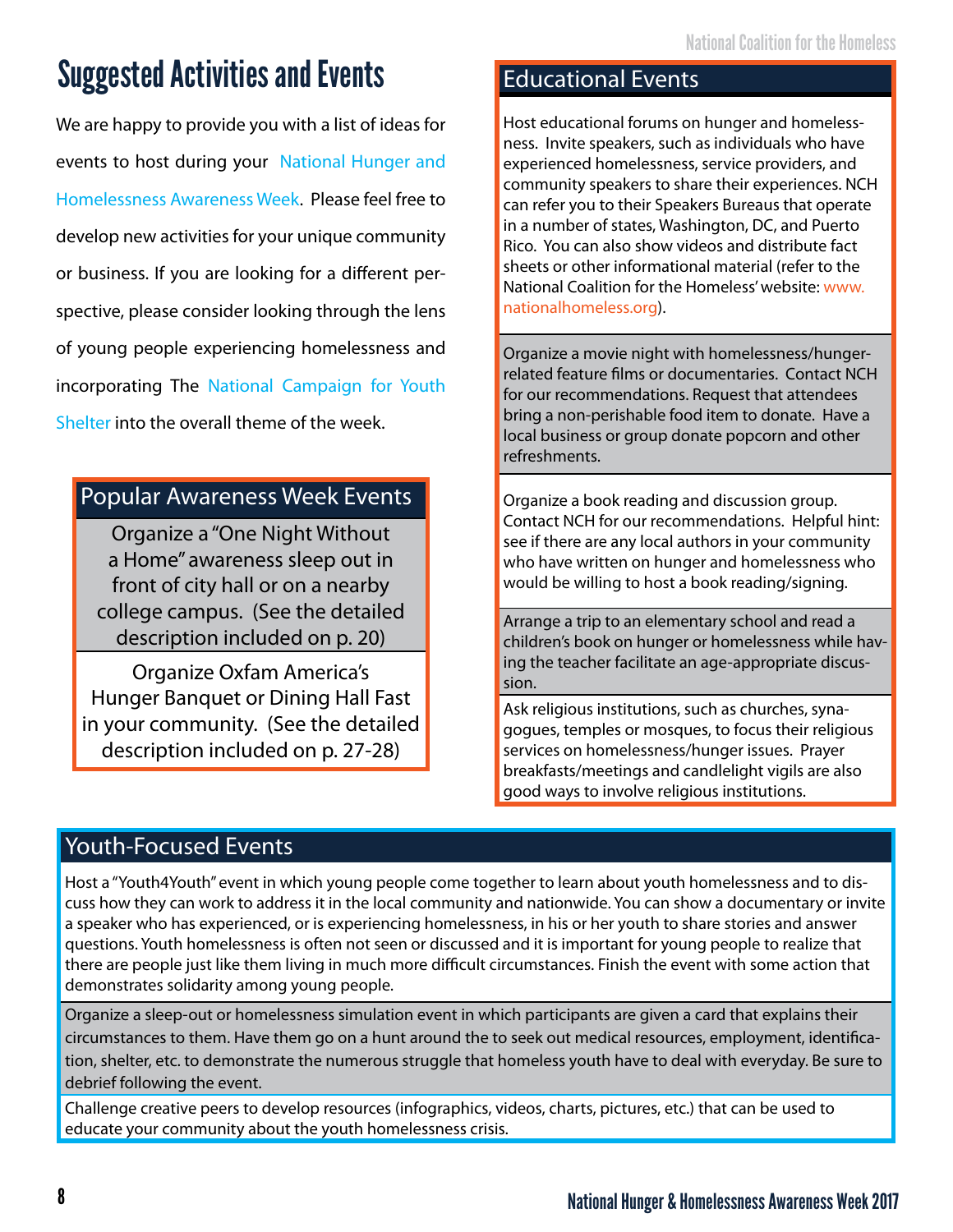## Suggested Activities and Events

We are happy to provide you with a list of ideas for events to host during your National Hunger and Homelessness Awareness Week. Please feel free to develop new activities for your unique community or business. If you are looking for a different perspective, please consider looking through the lens of young people experiencing homelessness and incorporating The National Campaign for Youth Shelter into the overall theme of the week.

#### Popular Awareness Week Events

Organize a "One Night Without a Home" awareness sleep out in front of city hall or on a nearby college campus. (See the detailed description included on p. 20)

Organize Oxfam America's Hunger Banquet or Dining Hall Fast in your community. (See the detailed description included on p. 27-28)

#### Educational Events

Host educational forums on hunger and homelessness. Invite speakers, such as individuals who have experienced homelessness, service providers, and community speakers to share their experiences. NCH can refer you to their Speakers Bureaus that operate in a number of states, Washington, DC, and Puerto Rico. You can also show videos and distribute fact sheets or other informational material (refer to the National Coalition for the Homeless' website: www. nationalhomeless.org).

Organize a movie night with homelessness/hungerrelated feature films or documentaries. Contact NCH for our recommendations. Request that attendees bring a non-perishable food item to donate. Have a local business or group donate popcorn and other refreshments.

Organize a book reading and discussion group. Contact NCH for our recommendations. Helpful hint: see if there are any local authors in your community who have written on hunger and homelessness who would be willing to host a book reading/signing.

Arrange a trip to an elementary school and read a children's book on hunger or homelessness while having the teacher facilitate an age-appropriate discussion.

Ask religious institutions, such as churches, synagogues, temples or mosques, to focus their religious services on homelessness/hunger issues. Prayer breakfasts/meetings and candlelight vigils are also good ways to involve religious institutions.

#### Youth-Focused Events

Host a "Youth4Youth" event in which young people come together to learn about youth homelessness and to discuss how they can work to address it in the local community and nationwide. You can show a documentary or invite a speaker who has experienced, or is experiencing homelessness, in his or her youth to share stories and answer questions. Youth homelessness is often not seen or discussed and it is important for young people to realize that there are people just like them living in much more difficult circumstances. Finish the event with some action that demonstrates solidarity among young people.

Organize a sleep-out or homelessness simulation event in which participants are given a card that explains their circumstances to them. Have them go on a hunt around the to seek out medical resources, employment, identification, shelter, etc. to demonstrate the numerous struggle that homeless youth have to deal with everyday. Be sure to debrief following the event.

Challenge creative peers to develop resources (infographics, videos, charts, pictures, etc.) that can be used to educate your community about the youth homelessness crisis.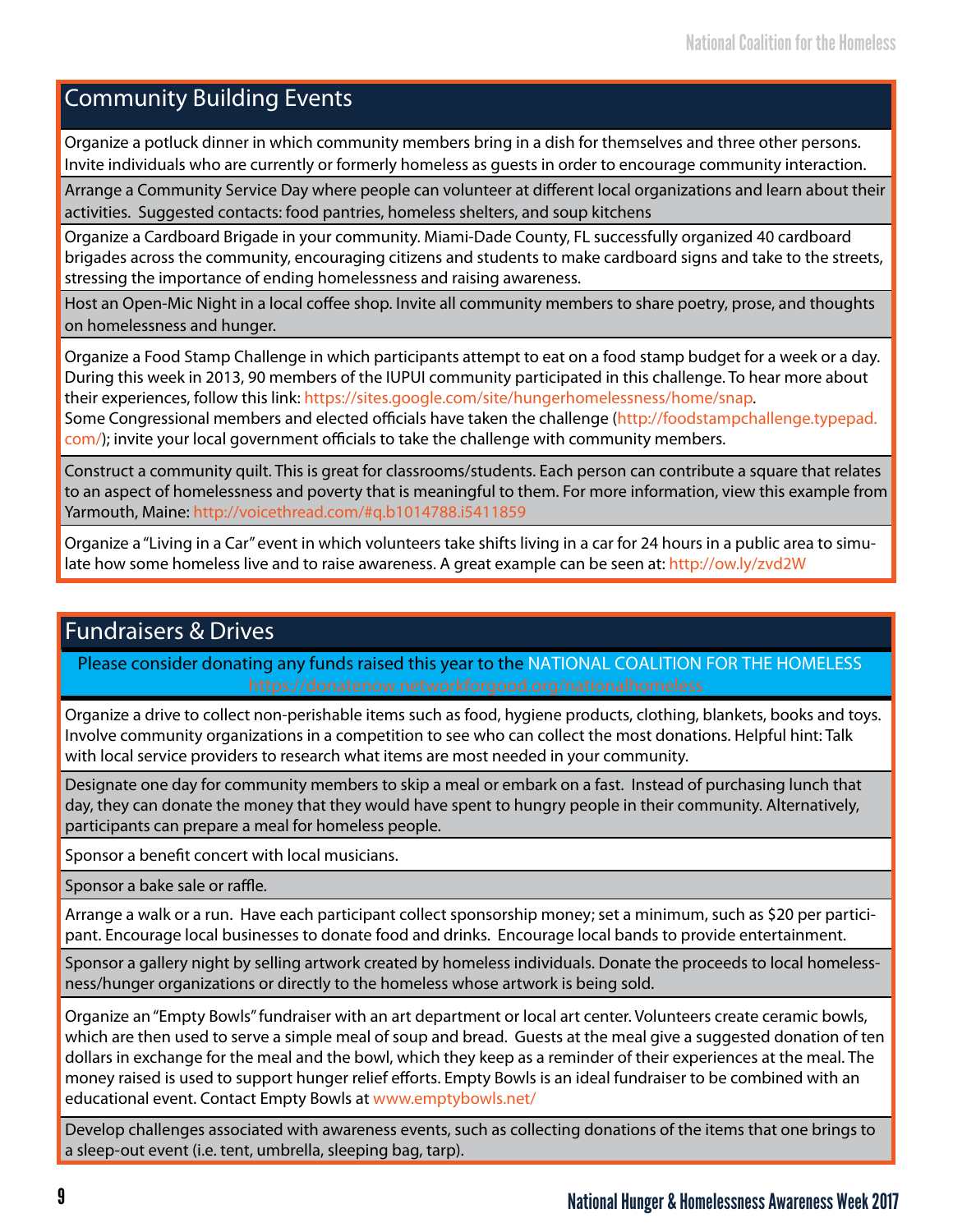#### Community Building Events

Organize a potluck dinner in which community members bring in a dish for themselves and three other persons. Invite individuals who are currently or formerly homeless as guests in order to encourage community interaction.

Arrange a Community Service Day where people can volunteer at different local organizations and learn about their activities. Suggested contacts: food pantries, homeless shelters, and soup kitchens

Organize a Cardboard Brigade in your community. Miami-Dade County, FL successfully organized 40 cardboard brigades across the community, encouraging citizens and students to make cardboard signs and take to the streets, stressing the importance of ending homelessness and raising awareness.

Host an Open-Mic Night in a local coffee shop. Invite all community members to share poetry, prose, and thoughts on homelessness and hunger.

Organize a Food Stamp Challenge in which participants attempt to eat on a food stamp budget for a week or a day. During this week in 2013, 90 members of the IUPUI community participated in this challenge. To hear more about their experiences, follow this link: https://sites.google.com/site/hungerhomelessness/home/snap.

Some Congressional members and elected officials have taken the challenge (http://foodstampchallenge.typepad. com/); invite your local government officials to take the challenge with community members.

Construct a community quilt. This is great for classrooms/students. Each person can contribute a square that relates to an aspect of homelessness and poverty that is meaningful to them. For more information, view this example from Yarmouth, Maine: http://voicethread.com/#q.b1014788.i5411859

Organize a "Living in a Car" event in which volunteers take shifts living in a car for 24 hours in a public area to simulate how some homeless live and to raise awareness. A great example can be seen at: http://ow.ly/zvd2W

#### Fundraisers & Drives

Please consider donating any funds raised this year to the NATIONAL COALITION FOR THE HOMELESS

Organize a drive to collect non-perishable items such as food, hygiene products, clothing, blankets, books and toys. Involve community organizations in a competition to see who can collect the most donations. Helpful hint: Talk with local service providers to research what items are most needed in your community.

Designate one day for community members to skip a meal or embark on a fast. Instead of purchasing lunch that day, they can donate the money that they would have spent to hungry people in their community. Alternatively, participants can prepare a meal for homeless people.

Sponsor a benefit concert with local musicians.

Sponsor a bake sale or raffle.

Arrange a walk or a run. Have each participant collect sponsorship money; set a minimum, such as \$20 per participant. Encourage local businesses to donate food and drinks. Encourage local bands to provide entertainment.

Sponsor a gallery night by selling artwork created by homeless individuals. Donate the proceeds to local homelessness/hunger organizations or directly to the homeless whose artwork is being sold.

Organize an "Empty Bowls" fundraiser with an art department or local art center. Volunteers create ceramic bowls, which are then used to serve a simple meal of soup and bread. Guests at the meal give a suggested donation of ten dollars in exchange for the meal and the bowl, which they keep as a reminder of their experiences at the meal. The money raised is used to support hunger relief efforts. Empty Bowls is an ideal fundraiser to be combined with an educational event. Contact Empty Bowls at www.emptybowls.net/

Develop challenges associated with awareness events, such as collecting donations of the items that one brings to a sleep-out event (i.e. tent, umbrella, sleeping bag, tarp).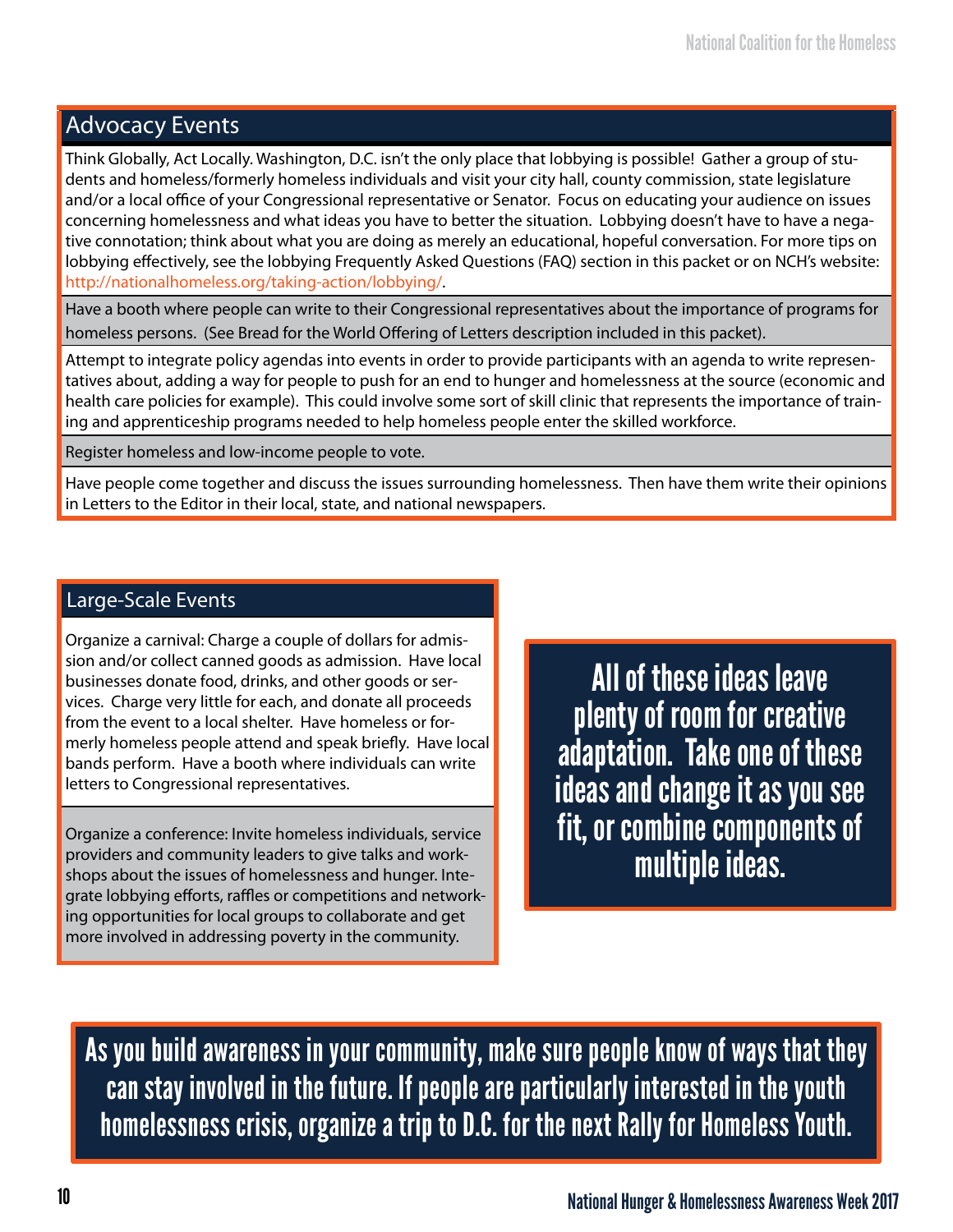#### Advocacy Events

Think Globally, Act Locally. Washington, D.C. isn't the only place that lobbying is possible! Gather a group of students and homeless/formerly homeless individuals and visit your city hall, county commission, state legislature and/or a local office of your Congressional representative or Senator. Focus on educating your audience on issues concerning homelessness and what ideas you have to better the situation. Lobbying doesn't have to have a negative connotation; think about what you are doing as merely an educational, hopeful conversation. For more tips on lobbying effectively, see the lobbying Frequently Asked Questions (FAQ) section in this packet or on NCH's website: http://nationalhomeless.org/taking-action/lobbying/.

Have a booth where people can write to their Congressional representatives about the importance of programs for homeless persons. (See Bread for the World Offering of Letters description included in this packet).

Attempt to integrate policy agendas into events in order to provide participants with an agenda to write representatives about, adding a way for people to push for an end to hunger and homelessness at the source (economic and health care policies for example). This could involve some sort of skill clinic that represents the importance of training and apprenticeship programs needed to help homeless people enter the skilled workforce.

Register homeless and low-income people to vote.

Have people come together and discuss the issues surrounding homelessness. Then have them write their opinions in Letters to the Editor in their local, state, and national newspapers.

#### Large-Scale Events

Organize a carnival: Charge a couple of dollars for admission and/or collect canned goods as admission. Have local businesses donate food, drinks, and other goods or services. Charge very little for each, and donate all proceeds from the event to a local shelter. Have homeless or formerly homeless people attend and speak briefly. Have local bands perform. Have a booth where individuals can write letters to Congressional representatives.

Organize a conference: Invite homeless individuals, service providers and community leaders to give talks and workshops about the issues of homelessness and hunger. Integrate lobbying efforts, raffles or competitions and networking opportunities for local groups to collaborate and get more involved in addressing poverty in the community.

All of these ideas leave plenty of room for creative adaptation. Take one of these ideas and change it as you see fit, or combine components of multiple ideas.

As you build awareness in your community, make sure people know of ways that they can stay involved in the future. If people are particularly interested in the youth homelessness crisis, organize a trip to D.C. for the next Rally for Homeless Youth.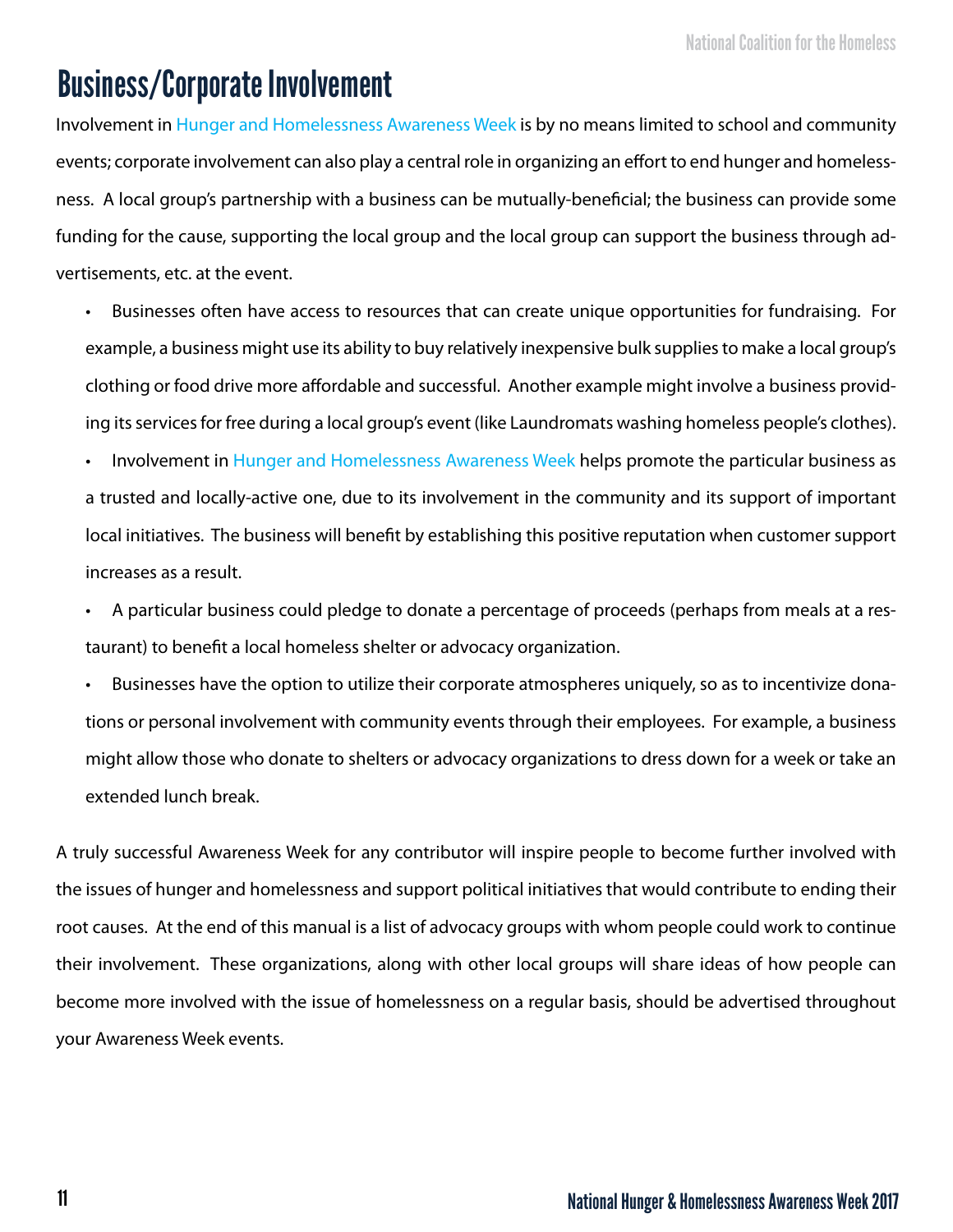### Business/Corporate Involvement

Involvement in Hunger and Homelessness Awareness Week is by no means limited to school and community events; corporate involvement can also play a central role in organizing an effort to end hunger and homelessness. A local group's partnership with a business can be mutually-beneficial; the business can provide some funding for the cause, supporting the local group and the local group can support the business through advertisements, etc. at the event.

• Businesses often have access to resources that can create unique opportunities for fundraising. For example, a business might use its ability to buy relatively inexpensive bulk supplies to make a local group's clothing or food drive more affordable and successful. Another example might involve a business providing its services for free during a local group's event (like Laundromats washing homeless people's clothes).

Involvement in Hunger and Homelessness Awareness Week helps promote the particular business as a trusted and locally-active one, due to its involvement in the community and its support of important local initiatives. The business will benefit by establishing this positive reputation when customer support increases as a result.

• A particular business could pledge to donate a percentage of proceeds (perhaps from meals at a restaurant) to benefit a local homeless shelter or advocacy organization.

Businesses have the option to utilize their corporate atmospheres uniquely, so as to incentivize donations or personal involvement with community events through their employees. For example, a business might allow those who donate to shelters or advocacy organizations to dress down for a week or take an extended lunch break.

A truly successful Awareness Week for any contributor will inspire people to become further involved with the issues of hunger and homelessness and support political initiatives that would contribute to ending their root causes. At the end of this manual is a list of advocacy groups with whom people could work to continue their involvement. These organizations, along with other local groups will share ideas of how people can become more involved with the issue of homelessness on a regular basis, should be advertised throughout your Awareness Week events.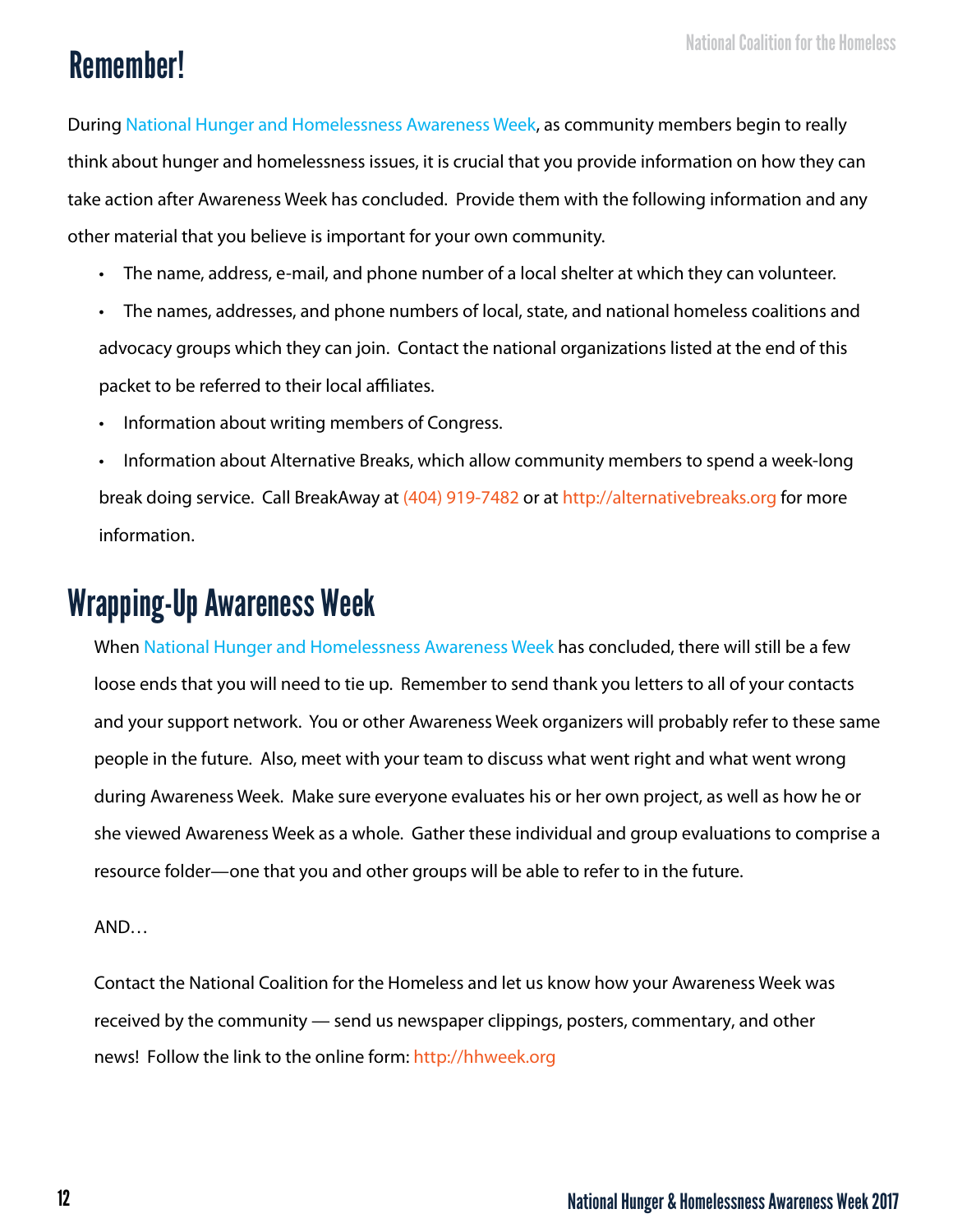## Remember!

During National Hunger and Homelessness Awareness Week, as community members begin to really think about hunger and homelessness issues, it is crucial that you provide information on how they can take action after Awareness Week has concluded. Provide them with the following information and any other material that you believe is important for your own community.

- The name, address, e-mail, and phone number of a local shelter at which they can volunteer.
- The names, addresses, and phone numbers of local, state, and national homeless coalitions and advocacy groups which they can join. Contact the national organizations listed at the end of this packet to be referred to their local affiliates.
- Information about writing members of Congress.
- Information about Alternative Breaks, which allow community members to spend a week-long break doing service. Call BreakAway at (404) 919-7482 or at http://alternativebreaks.org for more information.

## Wrapping-Up Awareness Week

When National Hunger and Homelessness Awareness Week has concluded, there will still be a few loose ends that you will need to tie up. Remember to send thank you letters to all of your contacts and your support network. You or other Awareness Week organizers will probably refer to these same people in the future. Also, meet with your team to discuss what went right and what went wrong during Awareness Week. Make sure everyone evaluates his or her own project, as well as how he or she viewed Awareness Week as a whole. Gather these individual and group evaluations to comprise a resource folder—one that you and other groups will be able to refer to in the future.

AND…

Contact the National Coalition for the Homeless and let us know how your Awareness Week was received by the community — send us newspaper clippings, posters, commentary, and other news! Follow the link to the online form: http://hhweek.org